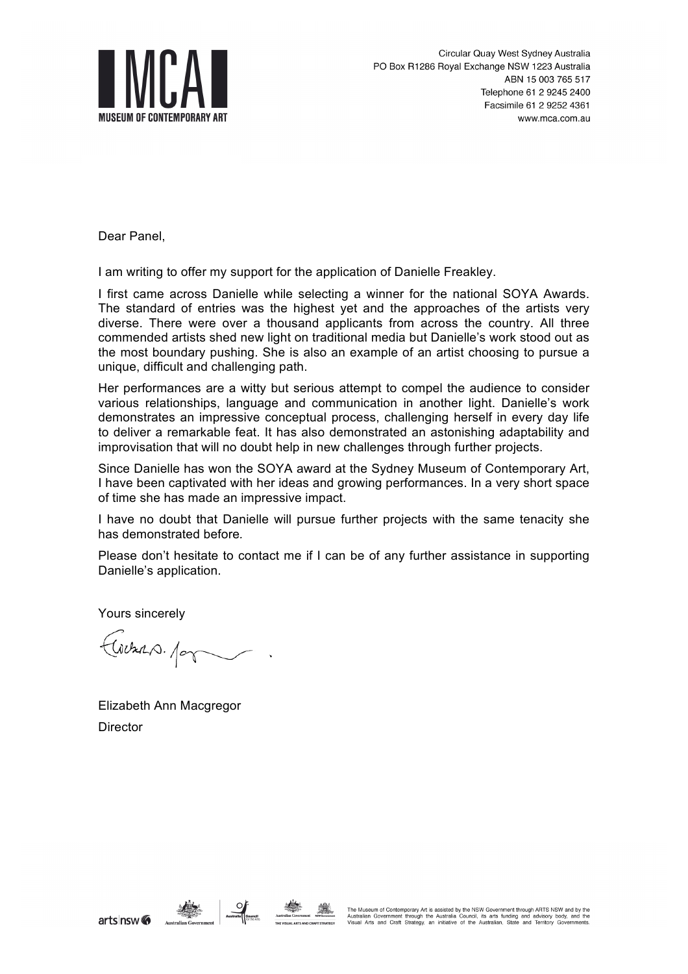

Dear Panel,

I am writing to offer my support for the application of Danielle Freakley.

I first came across Danielle while selecting a winner for the national SOYA Awards. The standard of entries was the highest yet and the approaches of the artists very diverse. There were over a thousand applicants from across the country. All three commended artists shed new light on traditional media but Danielle's work stood out as the most boundary pushing. She is also an example of an artist choosing to pursue a unique, difficult and challenging path.

Her performances are a witty but serious attempt to compel the audience to consider various relationships, language and communication in another light. Danielle's work demonstrates an impressive conceptual process, challenging herself in every day life to deliver a remarkable feat. It has also demonstrated an astonishing adaptability and improvisation that will no doubt help in new challenges through further projects.

Since Danielle has won the SOYA award at the Sydney Museum of Contemporary Art, I have been captivated with her ideas and growing performances. In a very short space of time she has made an impressive impact.

I have no doubt that Danielle will pursue further projects with the same tenacity she has demonstrated before*.*

Please don't hesitate to contact me if I can be of any further assistance in supporting Danielle's application.

Yours sincerely

Cochas. por

Elizabeth Ann Macgregor **Director**